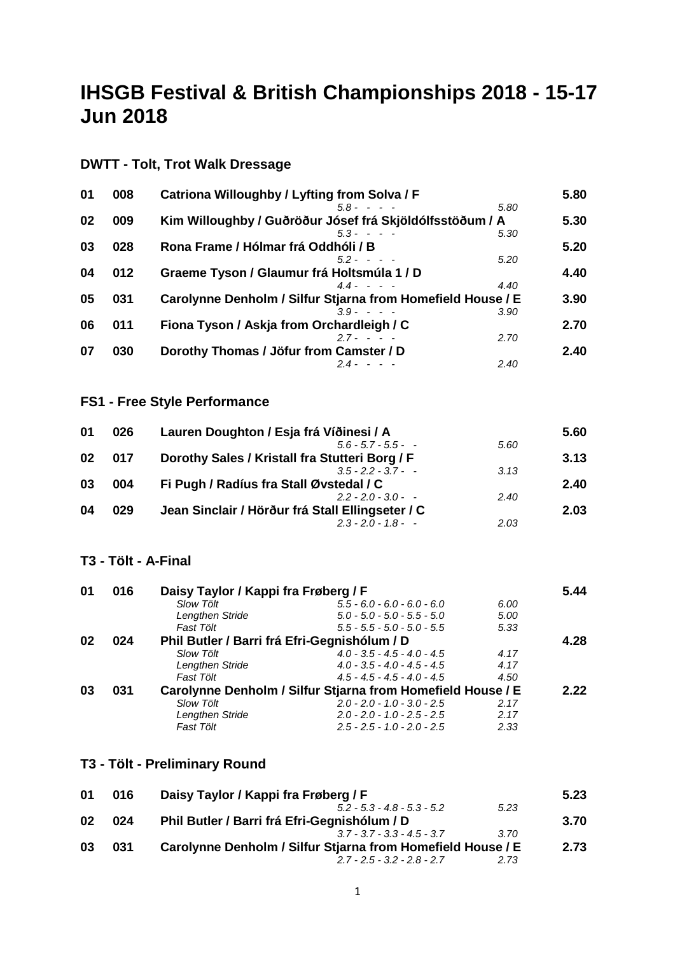# **IHSGB Festival & British Championships 2018 - 15-17 Jun 2018**

| 01 | 008 | Catriona Willoughby / Lyfting from Solva / F                | 5.80 |
|----|-----|-------------------------------------------------------------|------|
|    |     | $58 - - -$<br>5.80                                          |      |
| 02 | 009 | Kim Willoughby / Guðröður Jósef frá Skjöldólfsstöðum / A    | 5.30 |
|    |     | $5.3 - - - -$<br>5.30                                       |      |
| 03 | 028 | Rona Frame / Hólmar frá Oddhóli / B                         | 5.20 |
|    |     | $52 - - -$<br>5.20                                          |      |
| 04 | 012 | Graeme Tyson / Glaumur frá Holtsmúla 1 / D                  | 4.40 |
|    |     | $44 - - -$<br>4.40                                          |      |
| 05 | 031 | Carolynne Denholm / Silfur Stjarna from Homefield House / E | 3.90 |
|    |     | $39 - - -$<br>3.90                                          |      |
| 06 | 011 | Fiona Tyson / Askja from Orchardleigh / C                   | 2.70 |
|    |     | $27 - - -$<br>2.70                                          |      |
| 07 | 030 | Dorothy Thomas / Jöfur from Camster / D                     | 2.40 |
|    |     | 2.40<br>$24 - - -$                                          |      |

## **DWTT - Tolt, Trot Walk Dressage**

#### **FS1 - Free Style Performance**

| 026 | Lauren Doughton / Esja frá Víðinesi / A          |      | 5.60 |
|-----|--------------------------------------------------|------|------|
|     | $5.6 - 5.7 - 5.5 -$                              | 5.60 |      |
| 017 | Dorothy Sales / Kristall fra Stutteri Borg / F   |      | 3.13 |
|     | $3.5 - 2.2 - 3.7 -$                              | 3.13 |      |
| 004 | Fi Pugh / Radíus fra Stall Øvstedal / C          |      | 2.40 |
|     | $2.2 - 2.0 - 3.0 -$                              | 2.40 |      |
| 029 | Jean Sinclair / Hörður frá Stall Ellingseter / C |      | 2.03 |
|     | $2.3 - 2.0 - 1.8 - -$                            | 2.03 |      |
|     |                                                  |      |      |

#### **T3 - Tölt - A-Final**

| 01 | 016 | Daisy Taylor / Kappi fra Frøberg / F         |                                                             |      | 5.44 |
|----|-----|----------------------------------------------|-------------------------------------------------------------|------|------|
|    |     | Slow Tölt                                    | $5.5 - 6.0 - 6.0 - 6.0 - 6.0$                               | 6.00 |      |
|    |     | Lengthen Stride                              | $5.0 - 5.0 - 5.0 - 5.5 - 5.0$                               | 5.00 |      |
|    |     | Fast Tölt                                    | $5.5 - 5.5 - 5.0 - 5.0 - 5.5$                               | 5.33 |      |
| 02 | 024 | Phil Butler / Barri frá Efri-Gegnishólum / D |                                                             |      | 4.28 |
|    |     | <b>Slow Tölt</b>                             | $4.0 - 3.5 - 4.5 - 4.0 - 4.5$                               | 4.17 |      |
|    |     | Lengthen Stride                              | $4.0 - 3.5 - 4.0 - 4.5 - 4.5$                               | 4.17 |      |
|    |     | Fast Tölt                                    | $4.5 - 4.5 - 4.5 - 4.0 - 4.5$                               | 4.50 |      |
| 03 | 031 |                                              | Carolynne Denholm / Silfur Stjarna from Homefield House / E |      | 2.22 |
|    |     | Slow Tölt                                    | $2.0 - 2.0 - 1.0 - 3.0 - 2.5$                               | 2.17 |      |
|    |     | Lengthen Stride                              | $2.0 - 2.0 - 1.0 - 2.5 - 2.5$                               | 2.17 |      |
|    |     | Fast Tölt                                    | $2.5 - 2.5 - 1.0 - 2.0 - 2.5$                               | 2.33 |      |

#### **T3 - Tölt - Preliminary Round**

| 01 | 016 | Daisy Taylor / Kappi fra Frøberg / F                        |      | 5.23 |
|----|-----|-------------------------------------------------------------|------|------|
|    |     | $5.2 - 5.3 - 4.8 - 5.3 - 5.2$                               | 5.23 |      |
| 02 | 024 | Phil Butler / Barri frá Efri-Gegnishólum / D                |      | 3.70 |
|    |     | $37 - 37 - 33 - 45 - 37$                                    | 3.70 |      |
| 03 | 031 | Carolynne Denholm / Silfur Stjarna from Homefield House / E |      | 2.73 |
|    |     | $2.7 - 2.5 - 3.2 - 2.8 - 2.7$                               | 2.73 |      |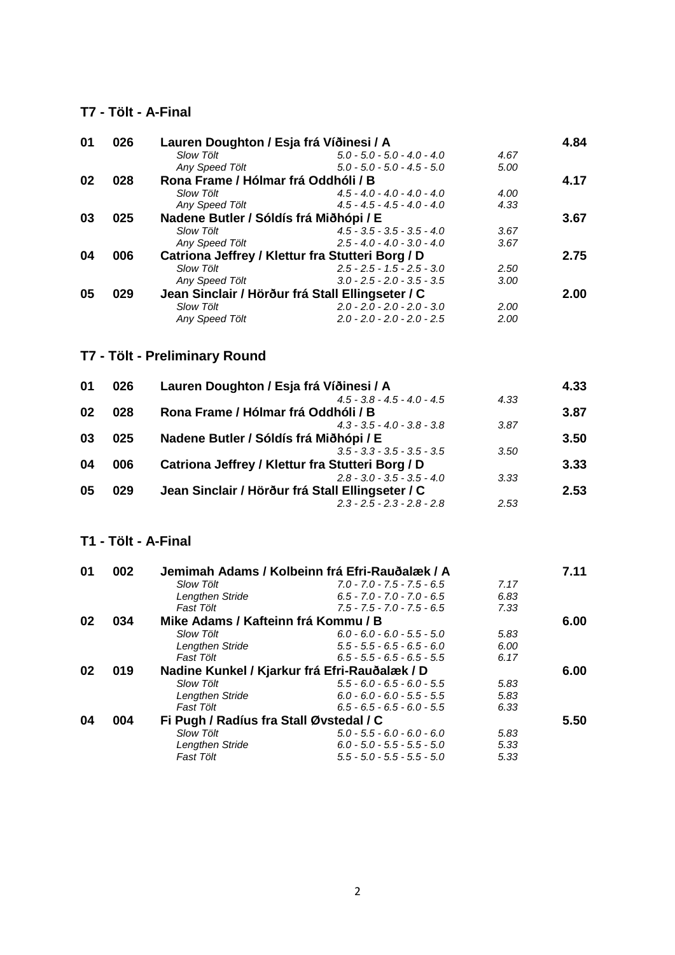#### **T7 - Tölt - A-Final**

| 01 | 026 | Lauren Doughton / Esja frá Víðinesi / A |                                                  |      | 4.84 |
|----|-----|-----------------------------------------|--------------------------------------------------|------|------|
|    |     | <b>Slow Tölt</b>                        | $5.0 - 5.0 - 5.0 - 4.0 - 4.0$                    | 4.67 |      |
|    |     | Any Speed Tölt                          | $5.0 - 5.0 - 5.0 - 4.5 - 5.0$                    | 5.00 |      |
| 02 | 028 | Rona Frame / Hólmar frá Oddhóli / B     |                                                  |      | 4.17 |
|    |     | Slow Tölt                               | $4.5 - 4.0 - 4.0 - 4.0 - 4.0$                    | 4.00 |      |
|    |     | Any Speed Tölt                          | $4.5 - 4.5 - 4.5 - 4.0 - 4.0$                    | 4.33 |      |
| 03 | 025 | Nadene Butler / Sóldís frá Miðhópi / E  |                                                  |      | 3.67 |
|    |     | <b>Slow Tölt</b>                        | $4.5 - 3.5 - 3.5 - 3.5 - 4.0$                    | 3.67 |      |
|    |     | Any Speed Tölt                          | $2.5 - 4.0 - 4.0 - 3.0 - 4.0$                    | 3.67 |      |
| 04 | 006 |                                         | Catriona Jeffrey / Klettur fra Stutteri Borg / D |      | 2.75 |
|    |     | <b>Slow Tölt</b>                        | $2.5 - 2.5 - 1.5 - 2.5 - 3.0$                    | 2.50 |      |
|    |     | Any Speed Tölt                          | $3.0 - 2.5 - 2.0 - 3.5 - 3.5$                    | 3.00 |      |
| 05 | 029 |                                         | Jean Sinclair / Hörður frá Stall Ellingseter / C |      | 2.00 |
|    |     | <b>Slow Tölt</b>                        | $2.0 - 2.0 - 2.0 - 2.0 - 3.0$                    | 2.00 |      |
|    |     | Anv Speed Tölt                          | $2.0 - 2.0 - 2.0 - 2.0 - 2.5$                    | 2.00 |      |

## **T7 - Tölt - Preliminary Round**

| 026 | Lauren Doughton / Esja frá Víðinesi / A          |      | 4.33 |
|-----|--------------------------------------------------|------|------|
|     | $4.5 - 3.8 - 4.5 - 4.0 - 4.5$                    | 4.33 |      |
| 028 | Rona Frame / Hólmar frá Oddhóli / B              |      | 3.87 |
|     | $4.3 - 3.5 - 4.0 - 3.8 - 3.8$                    | 3.87 |      |
| 025 | Nadene Butler / Sóldís frá Miðhópi / E           |      | 3.50 |
|     | $3.5 - 3.3 - 3.5 - 3.5 - 3.5$                    | 3.50 |      |
| 006 | Catriona Jeffrey / Klettur fra Stutteri Borg / D |      | 3.33 |
|     | $2.8 - 3.0 - 3.5 - 3.5 - 4.0$                    | 3.33 |      |
| 029 | Jean Sinclair / Hörður frá Stall Ellingseter / C |      | 2.53 |
|     | $2.3 - 2.5 - 2.3 - 2.8 - 2.8$                    | 2.53 |      |
|     |                                                  |      |      |

#### **T1 - Tölt - A-Final**

| 01 | 002 |                                         | Jemimah Adams / Kolbeinn frá Efri-Rauðalæk / A |      | 7.11 |
|----|-----|-----------------------------------------|------------------------------------------------|------|------|
|    |     | <b>Slow Tölt</b>                        | $7.0 - 7.0 - 7.5 - 7.5 - 6.5$                  | 7.17 |      |
|    |     | Lengthen Stride                         | $6.5 - 7.0 - 7.0 - 7.0 - 6.5$                  | 6.83 |      |
|    |     | Fast Tölt                               | $7.5 - 7.5 - 7.0 - 7.5 - 6.5$                  | 7.33 |      |
| 02 | 034 | Mike Adams / Kafteinn frá Kommu / B     |                                                |      | 6.00 |
|    |     | Slow Tölt                               | $6.0 - 6.0 - 6.0 - 5.5 - 5.0$                  | 5.83 |      |
|    |     | Lengthen Stride                         | $5.5 - 5.5 - 6.5 - 6.5 - 6.0$                  | 6.00 |      |
|    |     | Fast Tölt                               | $6.5 - 5.5 - 6.5 - 6.5 - 5.5$                  | 6.17 |      |
| 02 | 019 |                                         | Nadine Kunkel / Kjarkur frá Efri-Rauðalæk / D  |      | 6.00 |
|    |     | <b>Slow Tölt</b>                        | $5.5 - 6.0 - 6.5 - 6.0 - 5.5$                  | 5.83 |      |
|    |     | Lengthen Stride                         | $6.0 - 6.0 - 6.0 - 5.5 - 5.5$                  | 5.83 |      |
|    |     | Fast Tölt                               | $6.5 - 6.5 - 6.5 - 6.0 - 5.5$                  | 6.33 |      |
| 04 | 004 | Fi Pugh / Radíus fra Stall Øvstedal / C |                                                |      | 5.50 |
|    |     | <b>Slow Tölt</b>                        | $5.0 - 5.5 - 6.0 - 6.0 - 6.0$                  | 5.83 |      |
|    |     | Lengthen Stride                         | $6.0 - 5.0 - 5.5 - 5.5 - 5.0$                  | 5.33 |      |
|    |     | Fast Tölt                               | $5.5 - 5.0 - 5.5 - 5.5 - 5.0$                  | 5.33 |      |
|    |     |                                         |                                                |      |      |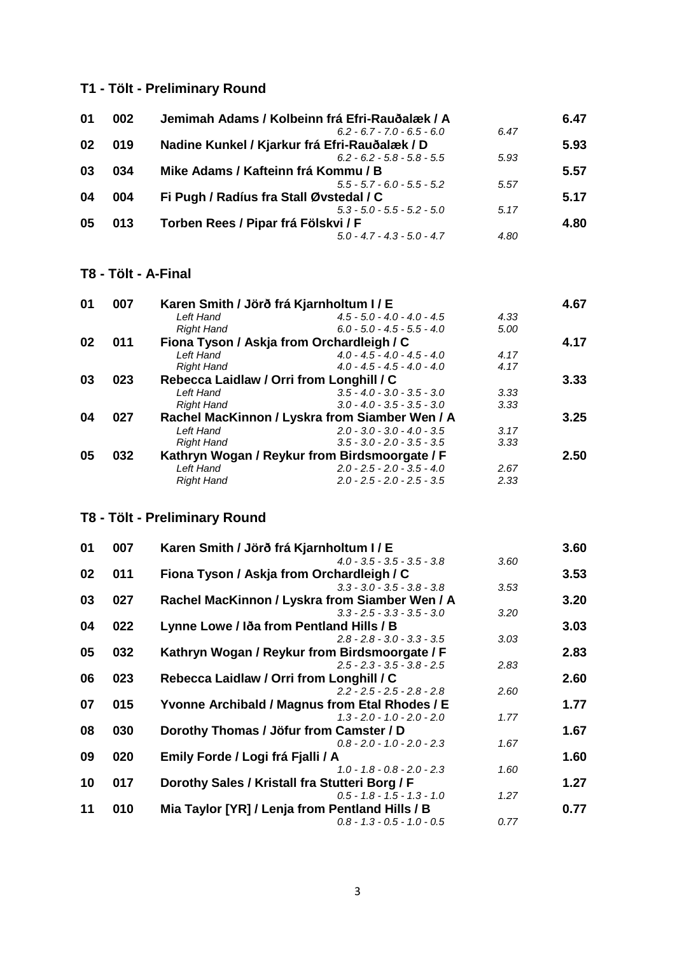## **T1 - Tölt - Preliminary Round**

| 01 | 002 | Jemimah Adams / Kolbeinn frá Efri-Rauðalæk / A |      | 6.47 |
|----|-----|------------------------------------------------|------|------|
|    |     | $6.2 - 6.7 - 7.0 - 6.5 - 6.0$                  | 6.47 |      |
| 02 | 019 | Nadine Kunkel / Kjarkur frá Efri-Rauðalæk / D  |      | 5.93 |
|    |     | $6.2 - 6.2 - 5.8 - 5.8 - 5.5$                  | 5.93 |      |
| 03 | 034 | Mike Adams / Kafteinn frá Kommu / B            |      | 5.57 |
|    |     | $5.5 - 5.7 - 6.0 - 5.5 - 5.2$                  | 5.57 |      |
| 04 | 004 | Fi Pugh / Radíus fra Stall Øvstedal / C        |      | 5.17 |
|    |     | $5.3 - 5.0 - 5.5 - 5.2 - 5.0$                  | 5.17 |      |
| 05 | 013 | Torben Rees / Pipar frá Fölskvi / F            |      | 4.80 |
|    |     | $5.0 - 4.7 - 4.3 - 5.0 - 4.7$                  | 4.80 |      |

#### **T8 - Tölt - A-Final**

| 01 | 007 | Karen Smith / Jörð frá Kjarnholtum I / E |                                                |      | 4.67 |
|----|-----|------------------------------------------|------------------------------------------------|------|------|
|    |     | Left Hand                                | $4.5 - 5.0 - 4.0 - 4.0 - 4.5$                  | 4.33 |      |
|    |     | <b>Right Hand</b>                        | $6.0 - 5.0 - 4.5 - 5.5 - 4.0$                  | 5.00 |      |
| 02 | 011 |                                          | Fiona Tyson / Askja from Orchardleigh / C      |      | 4.17 |
|    |     | Left Hand                                | $4.0 - 4.5 - 4.0 - 4.5 - 4.0$                  | 4.17 |      |
|    |     | <b>Right Hand</b>                        | $4.0 - 4.5 - 4.5 - 4.0 - 4.0$                  | 4.17 |      |
| 03 | 023 | Rebecca Laidlaw / Orri from Longhill / C |                                                |      | 3.33 |
|    |     | Left Hand                                | $3.5 - 4.0 - 3.0 - 3.5 - 3.0$                  | 3.33 |      |
|    |     | <b>Right Hand</b>                        | $3.0 - 4.0 - 3.5 - 3.5 - 3.0$                  | 3.33 |      |
| 04 | 027 |                                          | Rachel MacKinnon / Lyskra from Siamber Wen / A |      | 3.25 |
|    |     | Left Hand                                | $2.0 - 3.0 - 3.0 - 4.0 - 3.5$                  | 3.17 |      |
|    |     | <b>Right Hand</b>                        | $3.5 - 3.0 - 2.0 - 3.5 - 3.5$                  | 3.33 |      |
| 05 | 032 |                                          | Kathryn Wogan / Reykur from Birdsmoorgate / F  |      | 2.50 |
|    |     | Left Hand                                | $2.0 - 2.5 - 2.0 - 3.5 - 4.0$                  | 2.67 |      |
|    |     | <b>Right Hand</b>                        | $2.0 - 2.5 - 2.0 - 2.5 - 3.5$                  | 2.33 |      |

## **T8 - Tölt - Preliminary Round**

| 01 | 007 | Karen Smith / Jörð frá Kjarnholtum I / E        |      | 3.60 |
|----|-----|-------------------------------------------------|------|------|
|    |     | $4.0 - 3.5 - 3.5 - 3.5 - 3.8$                   | 3.60 |      |
| 02 | 011 | Fiona Tyson / Askja from Orchardleigh / C       |      | 3.53 |
|    |     | $3.3 - 3.0 - 3.5 - 3.8 - 3.8$                   | 3.53 |      |
| 03 | 027 | Rachel MacKinnon / Lyskra from Siamber Wen / A  |      | 3.20 |
|    |     | $3.3 - 2.5 - 3.3 - 3.5 - 3.0$                   | 3.20 |      |
| 04 | 022 | Lynne Lowe / Iða from Pentland Hills / B        |      | 3.03 |
|    |     | $2.8 - 2.8 - 3.0 - 3.3 - 3.5$                   | 3.03 |      |
| 05 | 032 | Kathryn Wogan / Reykur from Birdsmoorgate / F   |      | 2.83 |
|    |     | $2.5 - 2.3 - 3.5 - 3.8 - 2.5$                   | 2.83 |      |
| 06 | 023 | Rebecca Laidlaw / Orri from Longhill / C        |      | 2.60 |
|    |     | $2.2 - 2.5 - 2.5 - 2.8 - 2.8$                   | 2.60 |      |
| 07 | 015 | Yvonne Archibald / Magnus from Etal Rhodes / E  |      | 1.77 |
|    |     | $1.3 - 2.0 - 1.0 - 2.0 - 2.0$                   | 1.77 |      |
| 08 | 030 | Dorothy Thomas / Jöfur from Camster / D         |      | 1.67 |
|    |     | $0.8 - 2.0 - 1.0 - 2.0 - 2.3$                   | 1.67 |      |
| 09 | 020 | Emily Forde / Logi frá Fjalli / A               |      | 1.60 |
|    |     | $1.0 - 1.8 - 0.8 - 2.0 - 2.3$                   | 1.60 |      |
| 10 | 017 | Dorothy Sales / Kristall fra Stutteri Borg / F  |      | 1.27 |
|    |     | $0.5 - 1.8 - 1.5 - 1.3 - 1.0$                   | 1.27 |      |
| 11 | 010 | Mia Taylor [YR] / Lenja from Pentland Hills / B |      | 0.77 |
|    |     | $0.8 - 1.3 - 0.5 - 1.0 - 0.5$                   | 0.77 |      |
|    |     |                                                 |      |      |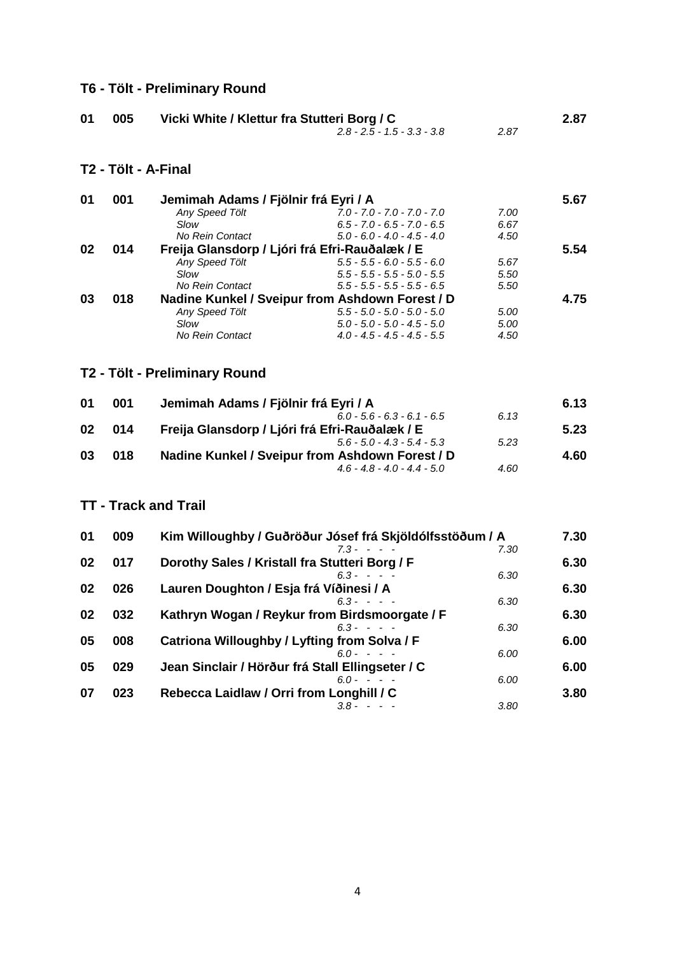## **T6 - Tölt - Preliminary Round**

| 01 | 005 | Vicki White / Klettur fra Stutteri Borg / C |      | 2.87 |
|----|-----|---------------------------------------------|------|------|
|    |     | $2.8 - 2.5 - 1.5 - 3.3 - 3.8$               | 2.87 |      |

**T2 - Tölt - A-Final**

| 01 | 001 | Jemimah Adams / Fjölnir frá Eyri / A           |                                                 |      | 5.67 |
|----|-----|------------------------------------------------|-------------------------------------------------|------|------|
|    |     | Any Speed Tölt                                 | $7.0 - 7.0 - 7.0 - 7.0 - 7.0$                   | 7.00 |      |
|    |     | Slow                                           | $6.5 - 7.0 - 6.5 - 7.0 - 6.5$                   | 6.67 |      |
|    |     | No Rein Contact                                | $5.0 - 6.0 - 4.0 - 4.5 - 4.0$                   | 4.50 |      |
| 02 | 014 | Freija Glansdorp / Ljóri frá Efri-Rauðalæk / E |                                                 |      | 5.54 |
|    |     | Any Speed Tölt                                 | $5.5 - 5.5 - 6.0 - 5.5 - 6.0$                   | 5.67 |      |
|    |     | Slow                                           | $5.5 - 5.5 - 5.5 - 5.0 - 5.5$                   | 5.50 |      |
|    |     | No Rein Contact                                | $5.5 - 5.5 - 5.5 - 5.5 - 6.5$                   | 5.50 |      |
| 03 | 018 |                                                | Nadine Kunkel / Sveipur from Ashdown Forest / D |      | 4.75 |
|    |     | Any Speed Tölt                                 | $5.5 - 5.0 - 5.0 - 5.0 - 5.0$                   | 5.00 |      |
|    |     | Slow                                           | $5.0 - 5.0 - 5.0 - 4.5 - 5.0$                   | 5.00 |      |
|    |     | No Rein Contact                                | $4.0 - 4.5 - 4.5 - 4.5 - 5.5$                   | 4.50 |      |

## **T2 - Tölt - Preliminary Round**

| 6.13 |
|------|
|      |
| 5.23 |
|      |
| 4.60 |
|      |
|      |

#### **TT - Track and Trail**

| 01 | 009 | Kim Willoughby / Guðröður Jósef frá Skjöldólfsstöðum / A | 7.30 |
|----|-----|----------------------------------------------------------|------|
|    |     | $7.3 - - - -$<br>7.30                                    |      |
| 02 | 017 | Dorothy Sales / Kristall fra Stutteri Borg / F           | 6.30 |
|    |     | $6.3 - - -$<br>6.30                                      |      |
| 02 | 026 | Lauren Doughton / Esja frá Víðinesi / A                  | 6.30 |
|    |     | $6.3 - - - -$<br>6.30                                    |      |
| 02 | 032 | Kathryn Wogan / Reykur from Birdsmoorgate / F            | 6.30 |
|    |     | $6.3 - - -$<br>6.30                                      |      |
| 05 | 008 | Catriona Willoughby / Lyfting from Solva / F             | 6.00 |
|    |     | $60 - - -$<br>6.00                                       |      |
| 05 | 029 | Jean Sinclair / Hörður frá Stall Ellingseter / C         | 6.00 |
|    |     | 6.00<br>$6.0 - - -$                                      |      |
| 07 | 023 | Rebecca Laidlaw / Orri from Longhill / C                 | 3.80 |
|    |     | 3.80<br>$3.8 - - -$                                      |      |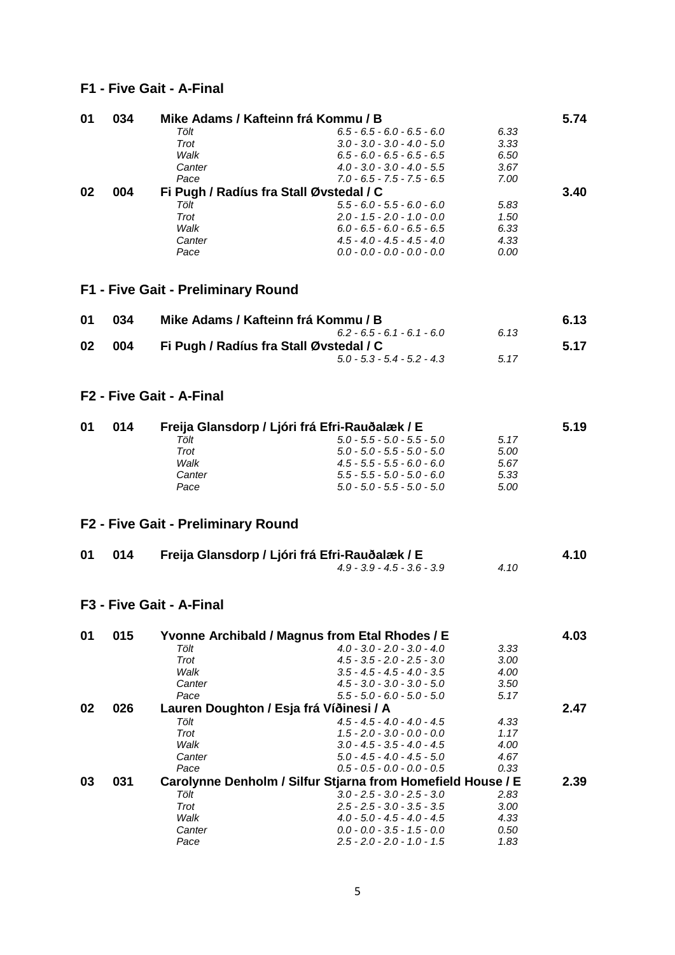#### **F1 - Five Gait - A-Final**

| 01 | 034 |        | Mike Adams / Kafteinn frá Kommu / B     |      | 5.74 |
|----|-----|--------|-----------------------------------------|------|------|
|    |     | Tölt   | $6.5 - 6.5 - 6.0 - 6.5 - 6.0$           | 6.33 |      |
|    |     | Trot   | $3.0 - 3.0 - 3.0 - 4.0 - 5.0$           | 3.33 |      |
|    |     | Walk   | $6.5 - 6.0 - 6.5 - 6.5 - 6.5$           | 6.50 |      |
|    |     | Canter | $4.0 - 3.0 - 3.0 - 4.0 - 5.5$           | 3.67 |      |
|    |     | Pace   | $7.0 - 6.5 - 7.5 - 7.5 - 6.5$           | 7.00 |      |
| 02 | 004 |        | Fi Pugh / Radíus fra Stall Øvstedal / C |      | 3.40 |
|    |     | Tölt   | $5.5 - 6.0 - 5.5 - 6.0 - 6.0$           | 5.83 |      |
|    |     | Trot   | $2.0 - 1.5 - 2.0 - 1.0 - 0.0$           | 1.50 |      |
|    |     | Walk   | $6.0 - 6.5 - 6.0 - 6.5 - 6.5$           | 6.33 |      |
|    |     | Canter | $4.5 - 4.0 - 4.5 - 4.5 - 4.0$           | 4.33 |      |
|    |     | Pace   | $0.0 - 0.0 - 0.0 - 0.0 - 0.0$           | 0.00 |      |
|    |     |        |                                         |      |      |

**F1 - Five Gait - Preliminary Round**

| 01 | 034 | Mike Adams / Kafteinn frá Kommu / B     |      | 6.13 |
|----|-----|-----------------------------------------|------|------|
|    |     | $6.2 - 6.5 - 6.1 - 6.1 - 6.0$           | 6.13 |      |
| 02 | 004 | Fi Pugh / Radíus fra Stall Øvstedal / C |      | 5.17 |
|    |     | $5.0 - 5.3 - 5.4 - 5.2 - 4.3$           | 5.17 |      |

#### **F2 - Five Gait - A-Final**

| 01 | 014 | Freija Glansdorp / Ljóri frá Efri-Rauðalæk / E |                               | 5.19 |  |
|----|-----|------------------------------------------------|-------------------------------|------|--|
|    |     | Tölt                                           | $5.0 - 5.5 - 5.0 - 5.5 - 5.0$ | 5.17 |  |
|    |     | Trot                                           | $5.0 - 5.0 - 5.5 - 5.0 - 5.0$ | 5.00 |  |
|    |     | Walk                                           | $4.5 - 5.5 - 5.5 - 6.0 - 6.0$ | 5.67 |  |
|    |     | Canter                                         | $5.5 - 5.5 - 5.0 - 5.0 - 6.0$ | 5.33 |  |
|    |     | Pace                                           | $5.0 - 5.0 - 5.5 - 5.0 - 5.0$ | 5.00 |  |

## **F2 - Five Gait - Preliminary Round**

| 01 014 | Freija Glansdorp / Ljóri frá Efri-Rauðalæk / E |      | 4.10 |
|--------|------------------------------------------------|------|------|
|        | $4.9 - 3.9 - 4.5 - 3.6 - 3.9$                  | 4.10 |      |

**F3 - Five Gait - A-Final**

| 01 | 015 |        | Yvonne Archibald / Magnus from Etal Rhodes / E              |      | 4.03 |
|----|-----|--------|-------------------------------------------------------------|------|------|
|    |     | Tölt   | $4.0 - 3.0 - 2.0 - 3.0 - 4.0$                               | 3.33 |      |
|    |     | Trot   | $4.5 - 3.5 - 2.0 - 2.5 - 3.0$                               | 3.00 |      |
|    |     | Walk   | $3.5 - 4.5 - 4.5 - 4.0 - 3.5$                               | 4.00 |      |
|    |     | Canter | $4.5 - 3.0 - 3.0 - 3.0 - 5.0$                               | 3.50 |      |
|    |     | Pace   | $5.5 - 5.0 - 6.0 - 5.0 - 5.0$                               | 5.17 |      |
| 02 | 026 |        | Lauren Doughton / Esja frá Víðinesi / A                     |      | 2.47 |
|    |     | Tölt   | $4.5 - 4.5 - 4.0 - 4.0 - 4.5$                               | 4.33 |      |
|    |     | Trot   | $1.5 - 2.0 - 3.0 - 0.0 - 0.0$                               | 1.17 |      |
|    |     | Walk   | $3.0 - 4.5 - 3.5 - 4.0 - 4.5$                               | 4.00 |      |
|    |     | Canter | $5.0 - 4.5 - 4.0 - 4.5 - 5.0$                               | 4.67 |      |
|    |     | Pace   | $0.5 - 0.5 - 0.0 - 0.0 - 0.5$                               | 0.33 |      |
| 03 | 031 |        | Carolynne Denholm / Silfur Stjarna from Homefield House / E |      | 2.39 |
|    |     | Tölt   | $3.0 - 2.5 - 3.0 - 2.5 - 3.0$                               | 2.83 |      |
|    |     | Trot   | $2.5 - 2.5 - 3.0 - 3.5 - 3.5$                               | 3.00 |      |
|    |     | Walk   | $4.0 - 5.0 - 4.5 - 4.0 - 4.5$                               | 4.33 |      |
|    |     | Canter | $0.0 - 0.0 - 3.5 - 1.5 - 0.0$                               | 0.50 |      |
|    |     | Pace   | $2.5 - 2.0 - 2.0 - 1.0 - 1.5$                               | 1.83 |      |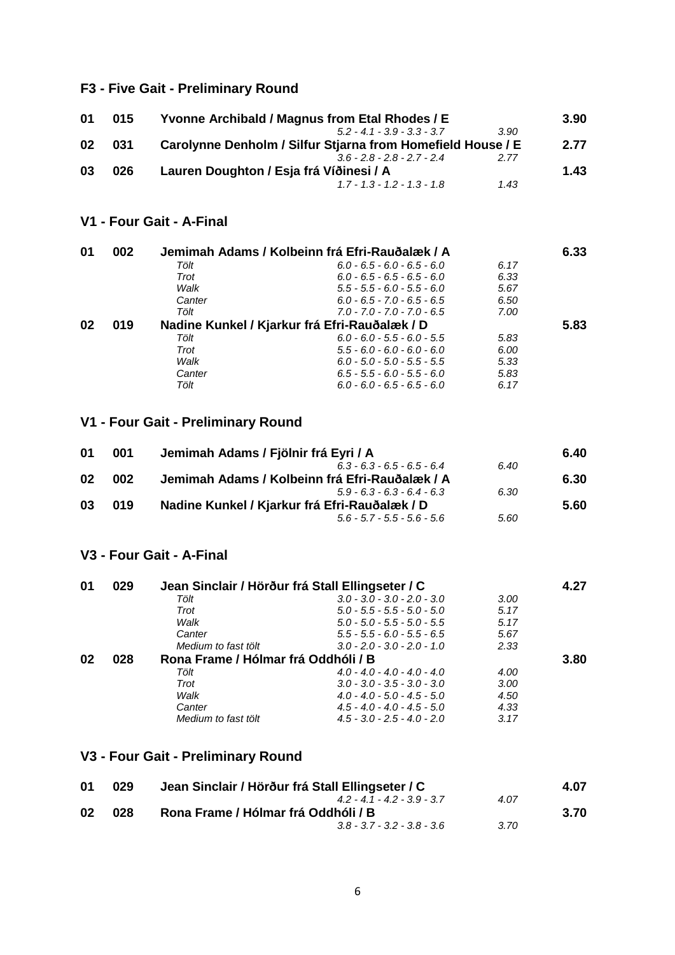## **F3 - Five Gait - Preliminary Round**

| 01 | 015 | Yvonne Archibald / Magnus from Etal Rhodes / E              |      | 3.90 |
|----|-----|-------------------------------------------------------------|------|------|
|    |     | $52 - 41 - 39 - 33 - 37$                                    | 3.90 |      |
| 02 | 031 | Carolynne Denholm / Silfur Stjarna from Homefield House / E |      | 2.77 |
|    |     | $36 - 28 - 28 - 27 - 24$                                    | 2.77 |      |
| 03 | 026 | Lauren Doughton / Esja frá Víðinesi / A                     |      | 1.43 |
|    |     | $1.7 - 1.3 - 1.2 - 1.3 - 1.8$                               | 1.43 |      |

**V1 - Four Gait - A-Final**

| 01 | 002 |        | Jemimah Adams / Kolbeinn frá Efri-Rauðalæk / A |      | 6.33 |
|----|-----|--------|------------------------------------------------|------|------|
|    |     | Tölt   | $6.0 - 6.5 - 6.0 - 6.5 - 6.0$                  | 6.17 |      |
|    |     | Trot   | $6.0 - 6.5 - 6.5 - 6.5 - 6.0$                  | 6.33 |      |
|    |     | Walk   | $5.5 - 5.5 - 6.0 - 5.5 - 6.0$                  | 5.67 |      |
|    |     | Canter | $6.0 - 6.5 - 7.0 - 6.5 - 6.5$                  | 6.50 |      |
|    |     | Tölt   | $7.0 - 7.0 - 7.0 - 7.0 - 6.5$                  | 7.00 |      |
| 02 | 019 |        | Nadine Kunkel / Kjarkur frá Efri-Rauðalæk / D  |      | 5.83 |
|    |     | Tölt   | $6.0 - 6.0 - 5.5 - 6.0 - 5.5$                  | 5.83 |      |
|    |     | Trot   | $5.5 - 6.0 - 6.0 - 6.0 - 6.0$                  | 6.00 |      |
|    |     | Walk   | $6.0 - 5.0 - 5.0 - 5.5 - 5.5$                  | 5.33 |      |
|    |     | Canter | $6.5 - 5.5 - 6.0 - 5.5 - 6.0$                  | 5.83 |      |
|    |     | Tölt   | $6.0 - 6.0 - 6.5 - 6.5 - 6.0$                  | 6.17 |      |

## **V1 - Four Gait - Preliminary Round**

| 001 | Jemimah Adams / Fjölnir frá Eyri / A           |      | 6.40 |
|-----|------------------------------------------------|------|------|
|     | $6.3 - 6.3 - 6.5 - 6.5 - 6.4$                  | 6.40 |      |
| 002 | Jemimah Adams / Kolbeinn frá Efri-Rauðalæk / A |      | 6.30 |
|     | $5.9 - 6.3 - 6.3 - 6.4 - 6.3$                  | 6.30 |      |
| 019 | Nadine Kunkel / Kjarkur frá Efri-Rauðalæk / D  |      | 5.60 |
|     | $56 - 57 - 55 - 56 - 56$                       | 5.60 |      |
|     |                                                |      |      |

### **V3 - Four Gait - A-Final**

| 01 | 029 | Jean Sinclair / Hörður frá Stall Ellingseter / C |                               |      | 4.27 |
|----|-----|--------------------------------------------------|-------------------------------|------|------|
|    |     | Tölt                                             | $3.0 - 3.0 - 3.0 - 2.0 - 3.0$ | 3.00 |      |
|    |     | Trot                                             | $5.0 - 5.5 - 5.5 - 5.0 - 5.0$ | 5.17 |      |
|    |     | Walk                                             | $5.0 - 5.0 - 5.5 - 5.0 - 5.5$ | 5.17 |      |
|    |     | Canter                                           | $5.5 - 5.5 - 6.0 - 5.5 - 6.5$ | 5.67 |      |
|    |     | Medium to fast tölt                              | $3.0 - 2.0 - 3.0 - 2.0 - 1.0$ | 2.33 |      |
| 02 | 028 | Rona Frame / Hólmar frá Oddhóli / B              |                               |      | 3.80 |
|    |     | Tölt                                             | $4.0 - 4.0 - 4.0 - 4.0 - 4.0$ | 4.00 |      |
|    |     | Trot                                             | $3.0 - 3.0 - 3.5 - 3.0 - 3.0$ | 3.00 |      |
|    |     | Walk                                             | $4.0 - 4.0 - 5.0 - 4.5 - 5.0$ | 4.50 |      |
|    |     | Canter                                           | $4.5 - 4.0 - 4.0 - 4.5 - 5.0$ | 4.33 |      |
|    |     | Medium to fast tölt                              | $4.5 - 3.0 - 2.5 - 4.0 - 2.0$ | 3.17 |      |

## **V3 - Four Gait - Preliminary Round**

| 01 | 029 | Jean Sinclair / Hörður frá Stall Ellingseter / C |      | 4.07 |
|----|-----|--------------------------------------------------|------|------|
|    |     | $42 - 41 - 42 - 39 - 37$                         | 4.07 |      |
| 02 | 028 | Rona Frame / Hólmar frá Oddhóli / B              |      | 3.70 |
|    |     | $3.8 - 3.7 - 3.2 - 3.8 - 3.6$                    | 3.70 |      |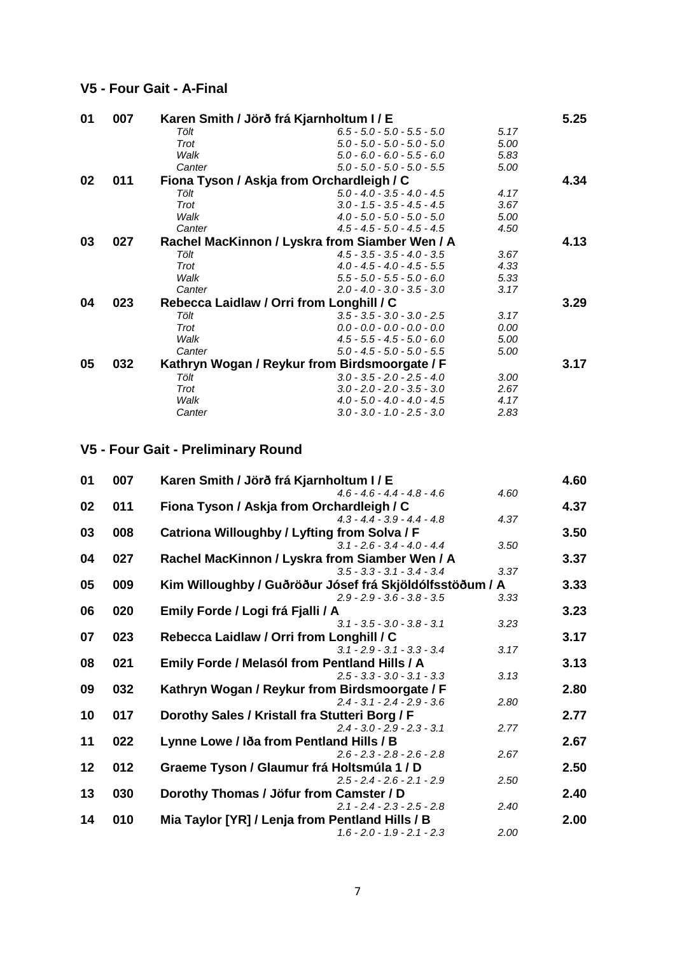#### **V5 - Four Gait - A-Final**

| 01 | 007 |        | Karen Smith / Jörð frá Kjarnholtum I / E       |      | 5.25 |
|----|-----|--------|------------------------------------------------|------|------|
|    |     | Tölt   | $6.5 - 5.0 - 5.0 - 5.5 - 5.0$                  | 5.17 |      |
|    |     | Trot   | $5.0 - 5.0 - 5.0 - 5.0 - 5.0$                  | 5.00 |      |
|    |     | Walk   | $5.0 - 6.0 - 6.0 - 5.5 - 6.0$                  | 5.83 |      |
|    |     | Canter | $5.0 - 5.0 - 5.0 - 5.0 - 5.5$                  | 5.00 |      |
| 02 | 011 |        | Fiona Tyson / Askja from Orchardleigh / C      |      | 4.34 |
|    |     | Tölt   | $5.0 - 4.0 - 3.5 - 4.0 - 4.5$                  | 4.17 |      |
|    |     | Trot   | $3.0 - 1.5 - 3.5 - 4.5 - 4.5$                  | 3.67 |      |
|    |     | Walk   | $4.0 - 5.0 - 5.0 - 5.0 - 5.0$                  | 5.00 |      |
|    |     | Canter | $4.5 - 4.5 - 5.0 - 4.5 - 4.5$                  | 4.50 |      |
| 03 | 027 |        | Rachel MacKinnon / Lyskra from Siamber Wen / A |      | 4.13 |
|    |     | Tölt   | $4.5 - 3.5 - 3.5 - 4.0 - 3.5$                  | 3.67 |      |
|    |     | Trot   | $4.0 - 4.5 - 4.0 - 4.5 - 5.5$                  | 4.33 |      |
|    |     | Walk   | $5.5 - 5.0 - 5.5 - 5.0 - 6.0$                  | 5.33 |      |
|    |     | Canter | $2.0 - 4.0 - 3.0 - 3.5 - 3.0$                  | 3.17 |      |
| 04 | 023 |        | Rebecca Laidlaw / Orri from Longhill / C       |      | 3.29 |
|    |     | Tölt   | $3.5 - 3.5 - 3.0 - 3.0 - 2.5$                  | 3.17 |      |
|    |     | Trot   | $0.0 - 0.0 - 0.0 - 0.0 - 0.0$                  | 0.00 |      |
|    |     | Walk   | $4.5 - 5.5 - 4.5 - 5.0 - 6.0$                  | 5.00 |      |
|    |     | Canter | $5.0 - 4.5 - 5.0 - 5.0 - 5.5$                  | 5.00 |      |
| 05 | 032 |        | Kathryn Wogan / Reykur from Birdsmoorgate / F  |      | 3.17 |
|    |     | Tölt   | $3.0 - 3.5 - 2.0 - 2.5 - 4.0$                  | 3.00 |      |
|    |     | Trot   | $3.0 - 2.0 - 2.0 - 3.5 - 3.0$                  | 2.67 |      |
|    |     | Walk   | $4.0 - 5.0 - 4.0 - 4.0 - 4.5$                  | 4.17 |      |
|    |     | Canter | $3.0 - 3.0 - 1.0 - 2.5 - 3.0$                  | 2.83 |      |

## **V5 - Four Gait - Preliminary Round**

| 01 | 007 | Karen Smith / Jörð frá Kjarnholtum I / E                 | 4.60 |
|----|-----|----------------------------------------------------------|------|
|    |     | 4.60<br>$4.6 - 4.6 - 4.4 - 4.8 - 4.6$                    |      |
| 02 | 011 | Fiona Tyson / Askja from Orchardleigh / C                | 4.37 |
|    |     | $4.3 - 4.4 - 3.9 - 4.4 - 4.8$<br>4.37                    |      |
| 03 | 008 | Catriona Willoughby / Lyfting from Solva / F             | 3.50 |
|    |     | $3.1 - 2.6 - 3.4 - 4.0 - 4.4$<br>3.50                    |      |
| 04 | 027 | Rachel MacKinnon / Lyskra from Siamber Wen / A           | 3.37 |
|    |     | 3.37<br>$3.5 - 3.3 - 3.1 - 3.4 - 3.4$                    |      |
| 05 | 009 | Kim Willoughby / Guðröður Jósef frá Skjöldólfsstöðum / A | 3.33 |
|    |     | $2.9 - 2.9 - 3.6 - 3.8 - 3.5$<br>3.33                    |      |
| 06 | 020 | Emily Forde / Logi frá Fjalli / A                        | 3.23 |
|    |     | $3.1 - 3.5 - 3.0 - 3.8 - 3.1$<br>3.23                    |      |
| 07 | 023 | Rebecca Laidlaw / Orri from Longhill / C                 | 3.17 |
|    |     | $3.1 - 2.9 - 3.1 - 3.3 - 3.4$<br>3.17                    |      |
| 08 | 021 | Emily Forde / Melasól from Pentland Hills / A            | 3.13 |
|    |     | $2.5 - 3.3 - 3.0 - 3.1 - 3.3$<br>3.13                    |      |
| 09 | 032 | Kathryn Wogan / Reykur from Birdsmoorgate / F            | 2.80 |
|    |     | $2.4 - 3.1 - 2.4 - 2.9 - 3.6$<br>2.80                    |      |
| 10 | 017 | Dorothy Sales / Kristall fra Stutteri Borg / F           | 2.77 |
|    |     | $2.4 - 3.0 - 2.9 - 2.3 - 3.1$<br>2.77                    |      |
| 11 | 022 | Lynne Lowe / Iða from Pentland Hills / B                 | 2.67 |
|    |     | 2.67<br>$2.6 - 2.3 - 2.8 - 2.6 - 2.8$                    |      |
| 12 | 012 | Graeme Tyson / Glaumur frá Holtsmúla 1 / D               | 2.50 |
|    |     | $2.5 - 2.4 - 2.6 - 2.1 - 2.9$<br>2.50                    |      |
| 13 | 030 |                                                          | 2.40 |
|    |     | Dorothy Thomas / Jöfur from Camster / D                  |      |
|    |     | $2.1 - 2.4 - 2.3 - 2.5 - 2.8$<br>2.40                    |      |
| 14 | 010 | Mia Taylor [YR] / Lenja from Pentland Hills / B          | 2.00 |
|    |     | 2.00<br>$1.6 - 2.0 - 1.9 - 2.1 - 2.3$                    |      |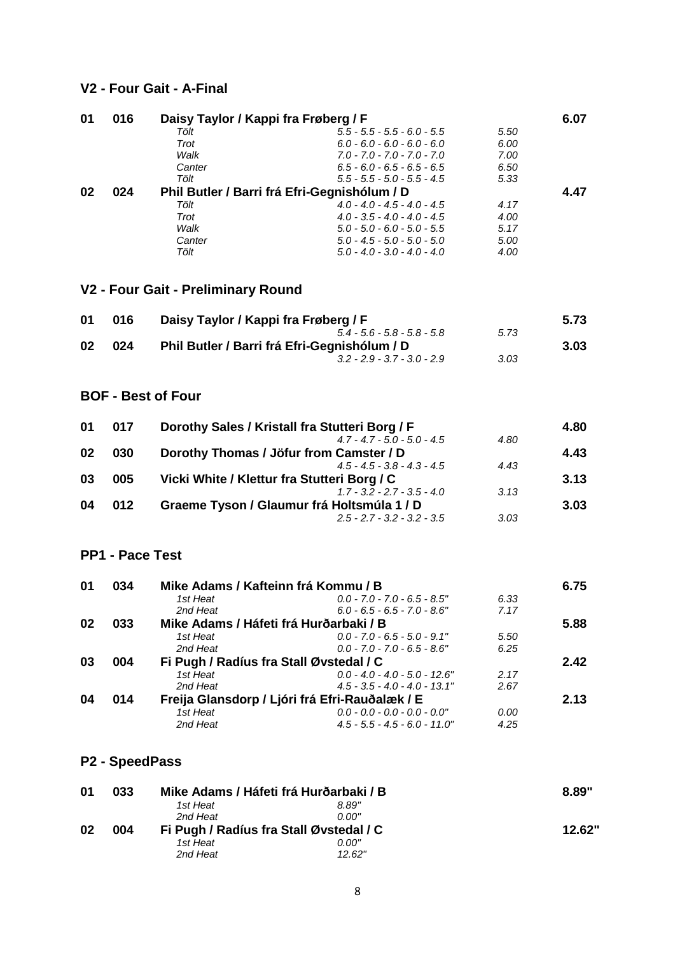#### **V2 - Four Gait - A-Final**

| 01 | 016 |        | Daisy Taylor / Kappi fra Frøberg / F         |      | 6.07 |
|----|-----|--------|----------------------------------------------|------|------|
|    |     | Tölt   | $5.5 - 5.5 - 5.5 - 6.0 - 5.5$                | 5.50 |      |
|    |     | Trot   | $6.0 - 6.0 - 6.0 - 6.0 - 6.0$                | 6.00 |      |
|    |     | Walk   | $7.0 - 7.0 - 7.0 - 7.0 - 7.0$                | 7.00 |      |
|    |     | Canter | $6.5 - 6.0 - 6.5 - 6.5 - 6.5$                | 6.50 |      |
|    |     | Tölt   | $5.5 - 5.5 - 5.0 - 5.5 - 4.5$                | 5.33 |      |
| 02 | 024 |        | Phil Butler / Barri frá Efri-Gegnishólum / D |      | 4.47 |
|    |     | Tölt   | $4.0 - 4.0 - 4.5 - 4.0 - 4.5$                | 4.17 |      |
|    |     | Trot   | $4.0 - 3.5 - 4.0 - 4.0 - 4.5$                | 4.00 |      |
|    |     | Walk   | $5.0 - 5.0 - 6.0 - 5.0 - 5.5$                | 5.17 |      |
|    |     | Canter | $5.0 - 4.5 - 5.0 - 5.0 - 5.0$                | 5.00 |      |
|    |     | Tölt   | $5.0 - 4.0 - 3.0 - 4.0 - 4.0$                | 4.00 |      |

## **V2 - Four Gait - Preliminary Round**

| 01 | 016 | Daisy Taylor / Kappi fra Frøberg / F         |      | 5.73 |
|----|-----|----------------------------------------------|------|------|
|    |     | $5.4 - 5.6 - 5.8 - 5.8 - 5.8$                | 5.73 |      |
| 02 | 024 | Phil Butler / Barri frá Efri-Gegnishólum / D |      | 3.03 |
|    |     | $3.2 - 2.9 - 3.7 - 3.0 - 2.9$                | 3.03 |      |

### **BOF - Best of Four**

| 017 | Dorothy Sales / Kristall fra Stutteri Borg / F |      | 4.80 |
|-----|------------------------------------------------|------|------|
|     | $4.7 - 4.7 - 5.0 - 5.0 - 4.5$                  | 4.80 |      |
| 030 | Dorothy Thomas / Jöfur from Camster / D        |      | 4.43 |
|     | $4.5 - 4.5 - 3.8 - 4.3 - 4.5$                  | 4.43 |      |
| 005 | Vicki White / Klettur fra Stutteri Borg / C    |      | 3.13 |
|     | $1.7 - 3.2 - 2.7 - 3.5 - 4.0$                  | 3.13 |      |
| 012 | Graeme Tyson / Glaumur frá Holtsmúla 1 / D     |      | 3.03 |
|     | $2.5 - 2.7 - 3.2 - 3.2 - 3.5$                  | 3.03 |      |
|     |                                                |      |      |

## **PP1 - Pace Test**

| 01 | 034 | Mike Adams / Kafteinn frá Kommu / B            |                                  |      | 6.75 |
|----|-----|------------------------------------------------|----------------------------------|------|------|
|    |     | 1st Heat                                       | $0.0 - 7.0 - 7.0 - 6.5 - 8.5$ "  | 6.33 |      |
|    |     | 2nd Heat                                       | $6.0 - 6.5 - 6.5 - 7.0 - 8.6$ "  | 7.17 |      |
| 02 | 033 | Mike Adams / Háfeti frá Hurðarbaki / B         |                                  |      | 5.88 |
|    |     | 1st Heat                                       | $0.0 - 7.0 - 6.5 - 5.0 - 9.1$ "  | 5.50 |      |
|    |     | 2nd Heat                                       | $0.0 - 7.0 - 7.0 - 6.5 - 8.6$ "  | 6.25 |      |
| 03 | 004 | Fi Pugh / Radíus fra Stall Øvstedal / C        |                                  |      | 2.42 |
|    |     | 1st Heat                                       | $0.0 - 4.0 - 4.0 - 5.0 - 12.6$ " | 2.17 |      |
|    |     | 2nd Heat                                       | $4.5 - 3.5 - 4.0 - 4.0 - 13.1$ " | 2.67 |      |
| 04 | 014 | Freija Glansdorp / Ljóri frá Efri-Rauðalæk / E |                                  |      | 2.13 |
|    |     | 1st Heat                                       | $0.0 - 0.0 - 0.0 - 0.0 - 0.0"$   | 0.00 |      |
|    |     | 2nd Heat                                       | $4.5 - 5.5 - 4.5 - 6.0 - 11.0$ " | 4.25 |      |

#### **P2 - SpeedPass**

| 01 | 033 | Mike Adams / Háfeti frá Hurðarbaki / B  |        | 8.89"  |
|----|-----|-----------------------------------------|--------|--------|
|    |     | 1st Heat                                | 8.89"  |        |
|    |     | 2nd Heat                                | 0.00"  |        |
| 02 | 004 | Fi Pugh / Radíus fra Stall Øvstedal / C |        | 12.62" |
|    |     | 1st Heat                                | 0.00"  |        |
|    |     | 2nd Heat                                | 12.62" |        |